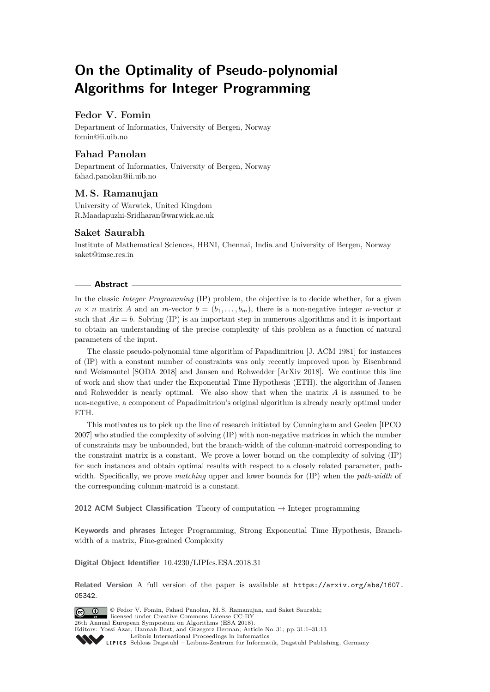# **On the Optimality of Pseudo-polynomial Algorithms for Integer Programming**

## **Fedor V. Fomin**

Department of Informatics, University of Bergen, Norway [fomin@ii.uib.no](mailto:fomin@ii.uib.no)

# **Fahad Panolan**

Department of Informatics, University of Bergen, Norway [fahad.panolan@ii.uib.no](mailto:fahad.panolan@ii.uib.no)

# **M. S. Ramanujan**

University of Warwick, United Kingdom [R.Maadapuzhi-Sridharan@warwick.ac.uk](mailto:R.Maadapuzhi-Sridharan@warwick.ac.uk)

# **Saket Saurabh**

Institute of Mathematical Sciences, HBNI, Chennai, India and University of Bergen, Norway [saket@imsc.res.in](mailto:saket@imsc.res.in)

### **Abstract**

In the classic *Integer Programming* (IP) problem, the objective is to decide whether, for a given  $m \times n$  matrix *A* and an *m*-vector  $b = (b_1, \ldots, b_m)$ , there is a non-negative integer *n*-vector *x* such that  $Ax = b$ . Solving (IP) is an important step in numerous algorithms and it is important to obtain an understanding of the precise complexity of this problem as a function of natural parameters of the input.

The classic pseudo-polynomial time algorithm of Papadimitriou [J. ACM 1981] for instances of (IP) with a constant number of constraints was only recently improved upon by Eisenbrand and Weismantel [SODA 2018] and Jansen and Rohwedder [ArXiv 2018]. We continue this line of work and show that under the Exponential Time Hypothesis (ETH), the algorithm of Jansen and Rohwedder is nearly optimal. We also show that when the matrix *A* is assumed to be non-negative, a component of Papadimitriou's original algorithm is already nearly optimal under ETH.

This motivates us to pick up the line of research initiated by Cunningham and Geelen [IPCO 2007] who studied the complexity of solving (IP) with non-negative matrices in which the number of constraints may be unbounded, but the branch-width of the column-matroid corresponding to the constraint matrix is a constant. We prove a lower bound on the complexity of solving (IP) for such instances and obtain optimal results with respect to a closely related parameter, pathwidth. Specifically, we prove *matching* upper and lower bounds for (IP) when the *path-width* of the corresponding column-matroid is a constant.

**2012 ACM Subject Classification** Theory of computation → Integer programming

**Keywords and phrases** Integer Programming, Strong Exponential Time Hypothesis, Branchwidth of a matrix, Fine-grained Complexity

### **Digital Object Identifier** [10.4230/LIPIcs.ESA.2018.31](http://dx.doi.org/10.4230/LIPIcs.ESA.2018.31)

**Related Version** A full version of the paper is available at [https://arxiv.org/abs/1607.](https://arxiv.org/abs/1607.05342) [05342](https://arxiv.org/abs/1607.05342).

© Fedor V. Fomin, Fahad Panolan, M. S. Ramanujan, and Saket Saurabh;  $\boxed{6}$  0 licensed under Creative Commons License CC-BY 26th Annual European Symposium on Algorithms (ESA 2018). Editors: Yossi Azar, Hannah Bast, and Grzegorz Herman; Article No. 31; pp. 31:1–31[:13](#page-12-0) [Leibniz International Proceedings in Informatics](http://www.dagstuhl.de/lipics/) [Schloss Dagstuhl – Leibniz-Zentrum für Informatik, Dagstuhl Publishing, Germany](http://www.dagstuhl.de)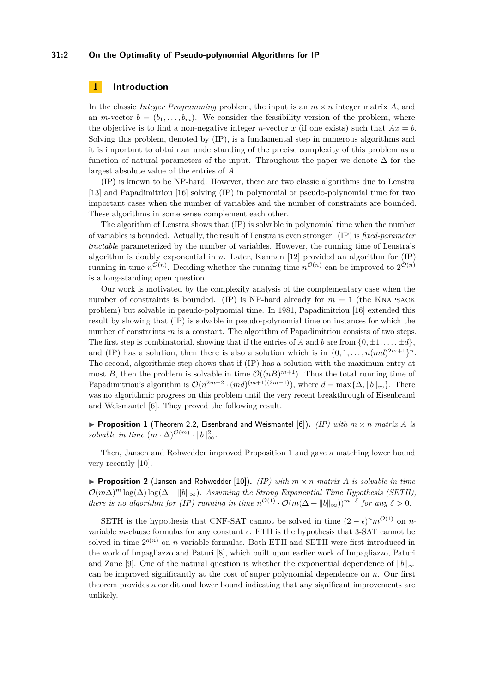#### **31:2 On the Optimality of Pseudo-polynomial Algorithms for IP**

### **1 Introduction**

In the classic *Integer Programming* problem, the input is an *m* × *n* integer matrix *A*, and an *m*-vector  $b = (b_1, \ldots, b_m)$ . We consider the feasibility version of the problem, where the objective is to find a non-negative integer *n*-vector *x* (if one exists) such that  $Ax = b$ . Solving this problem, denoted by (IP), is a fundamental step in numerous algorithms and it is important to obtain an understanding of the precise complexity of this problem as a function of natural parameters of the input. Throughout the paper we denote  $\Delta$  for the largest absolute value of the entries of *A*.

(IP) is known to be NP-hard. However, there are two classic algorithms due to Lenstra [\[13\]](#page-12-1) and Papadimitriou [\[16\]](#page-12-2) solving (IP) in polynomial or pseudo-polynomial time for two important cases when the number of variables and the number of constraints are bounded. These algorithms in some sense complement each other.

The algorithm of Lenstra shows that (IP) is solvable in polynomial time when the number of variables is bounded. Actually, the result of Lenstra is even stronger: (IP) is *fixed-parameter tractable* parameterized by the number of variables. However, the running time of Lenstra's algorithm is doubly exponential in *n*. Later, Kannan [\[12\]](#page-12-3) provided an algorithm for (IP) running in time  $n^{\mathcal{O}(n)}$ . Deciding whether the running time  $n^{\mathcal{O}(n)}$  can be improved to  $2^{\mathcal{O}(n)}$ is a long-standing open question.

Our work is motivated by the complexity analysis of the complementary case when the number of constraints is bounded. (IP) is NP-hard already for  $m = 1$  (the KNAPSACK problem) but solvable in pseudo-polynomial time. In 1981, Papadimitriou [\[16\]](#page-12-2) extended this result by showing that (IP) is solvable in pseudo-polynomial time on instances for which the number of constraints *m* is a constant. The algorithm of Papadimitriou consists of two steps. The first step is combinatorial, showing that if the entries of *A* and *b* are from  $\{0, \pm 1, \ldots, \pm d\}$ and (IP) has a solution, then there is also a solution which is in  $\{0, 1, \ldots, n (md)^{2m+1}\}^n$ . The second, algorithmic step shows that if (IP) has a solution with the maximum entry at most *B*, then the problem is solvable in time  $\mathcal{O}((nB)^{m+1})$ . Thus the total running time of Papadimitriou's algorithm is  $\mathcal{O}(n^{2m+2} \cdot (md)^{(m+1)(2m+1)})$ , where  $d = \max\{\Delta, ||b||_{\infty}\}.$  There was no algorithmic progress on this problem until the very recent breakthrough of Eisenbrand and Weismantel [\[6\]](#page-12-4). They proved the following result.

<span id="page-1-0"></span>**• Proposition 1** (Theorem 2.2, Eisenbrand and Weismantel [\[6\]](#page-12-4)). *(IP) with*  $m \times n$  *matrix A is* solvable in time  $(m \cdot \Delta)^{\mathcal{O}(m)} \cdot ||b||_{\infty}^2$ .

Then, Jansen and Rohwedder improved Proposition [1](#page-1-0) and gave a matching lower bound very recently [\[10\]](#page-12-5).

<span id="page-1-1"></span>**• Proposition 2** (Jansen and Rohwedder [\[10\]](#page-12-5)). *(IP) with*  $m \times n$  *matrix A is solvable in time*  $\mathcal{O}(m\Delta)^m \log(\Delta) \log(\Delta + ||b||_{\infty})$ *. Assuming the Strong Exponential Time Hypothesis (SETH)*, *there is no algorithm for (IP) running in time*  $n^{\mathcal{O}(1)} \cdot \mathcal{O}(m(\Delta + ||b||_{\infty}))^{m-\delta}$  *for any*  $\delta > 0$ *.* 

SETH is the hypothesis that CNF-SAT cannot be solved in time  $(2 - \epsilon)^n m^{\mathcal{O}(1)}$  on *n*variable *m*-clause formulas for any constant  $\epsilon$ . ETH is the hypothesis that 3-SAT cannot be solved in time  $2^{o(n)}$  on *n*-variable formulas. Both ETH and SETH were first introduced in the work of Impagliazzo and Paturi [\[8\]](#page-12-6), which built upon earlier work of Impagliazzo, Paturi and Zane [\[9\]](#page-12-7). One of the natural question is whether the exponential dependence of  $||b||_{\infty}$ can be improved significantly at the cost of super polynomial dependence on *n*. Our first theorem provides a conditional lower bound indicating that any significant improvements are unlikely.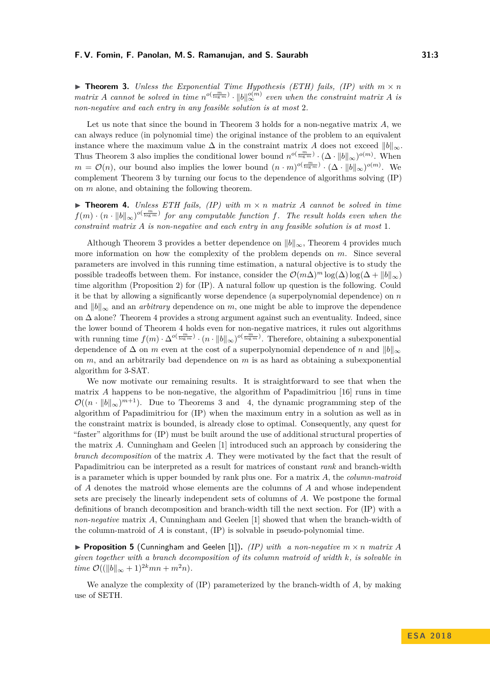#### **F. V. Fomin, F. Panolan, M. S. Ramanujan, and S. Saurabh 31:3**

<span id="page-2-0"></span>**In Theorem 3.** *Unless the Exponential Time Hypothesis (ETH) fails, (IP) with*  $m \times n$ *matrix A cannot be solved in time*  $n^{o(\frac{m}{\log m})} \cdot ||b||_{\infty}^{o(m)}$  *even when the constraint matrix A is non-negative and each entry in any feasible solution is at most* 2*.*

Let us note that since the bound in Theorem [3](#page-2-0) holds for a non-negative matrix *A*, we can always reduce (in polynomial time) the original instance of the problem to an equivalent instance where the maximum value  $\Delta$  in the constraint matrix *A* does not exceed  $||b||_{\infty}$ . Thus Theorem [3](#page-2-0) also implies the conditional lower bound  $n^{o(\frac{m}{\log m})} \cdot (\Delta \cdot ||b||_{\infty})^{o(m)}$ . When  $m = \mathcal{O}(n)$ , our bound also implies the lower bound  $(n \cdot m)^{o(\frac{m}{\log m})} \cdot (\Delta \cdot ||b||_{\infty})^{o(m)}$ . We complement Theorem [3](#page-2-0) by turning our focus to the dependence of algorithms solving (IP) on *m* alone, and obtaining the following theorem.

<span id="page-2-1"></span> $\triangleright$  **Theorem 4.** *Unless ETH fails, (IP) with*  $m \times n$  *matrix A cannot be solved in time*  $f(m) \cdot (n \cdot ||b||_{\infty})^{o(\frac{m}{\log m})}$  for any computable function f. The result holds even when the *constraint matrix A is non-negative and each entry in any feasible solution is at most* 1*.*

Although Theorem [3](#page-2-0) provides a better dependence on  $||b||_{\infty}$ , Theorem [4](#page-2-1) provides much more information on how the complexity of the problem depends on *m*. Since several parameters are involved in this running time estimation, a natural objective is to study the possible tradeoffs between them. For instance, consider the  $\mathcal{O}(m\Delta)^m \log(\Delta) \log(\Delta + ||b||_{\infty})$ time algorithm (Proposition [2\)](#page-1-1) for (IP). A natural follow up question is the following. Could it be that by allowing a significantly worse dependence (a superpolynomial dependence) on *n* and  $||b||_{\infty}$  and an *arbitrary* dependence on *m*, one might be able to improve the dependence on ∆ alone? Theorem [4](#page-2-1) provides a strong argument against such an eventuality. Indeed, since the lower bound of Theorem [4](#page-2-1) holds even for non-negative matrices, it rules out algorithms with running time  $f(m) \cdot \Delta^{o(\frac{m}{\log m})} \cdot (n \cdot ||b||_{\infty})^{o(\frac{m}{\log m})}$ . Therefore, obtaining a subexponential dependence of  $\Delta$  on *m* even at the cost of a superpolynomial dependence of *n* and  $||b||_{\infty}$ on *m*, and an arbitrarily bad dependence on *m* is as hard as obtaining a subexponential algorithm for 3-SAT.

We now motivate our remaining results. It is straightforward to see that when the matrix  $\hat{A}$  happens to be non-negative, the algorithm of Papadimitriou [\[16\]](#page-12-2) runs in time  $\mathcal{O}((n \cdot ||b||_{\infty})^{m+1})$ . Due to Theorems [3](#page-2-0) and [4,](#page-2-1) the dynamic programming step of the algorithm of Papadimitriou for (IP) when the maximum entry in a solution as well as in the constraint matrix is bounded, is already close to optimal. Consequently, any quest for "faster" algorithms for (IP) must be built around the use of additional structural properties of the matrix *A*. Cunningham and Geelen [\[1\]](#page-12-8) introduced such an approach by considering the *branch decomposition* of the matrix *A*. They were motivated by the fact that the result of Papadimitriou can be interpreted as a result for matrices of constant *rank* and branch-width is a parameter which is upper bounded by rank plus one. For a matrix *A*, the *column-matroid* of *A* denotes the matroid whose elements are the columns of *A* and whose independent sets are precisely the linearly independent sets of columns of *A*. We postpone the formal definitions of branch decomposition and branch-width till the next section. For (IP) with a *non-negative* matrix *A*, Cunningham and Geelen [\[1\]](#page-12-8) showed that when the branch-width of the column-matroid of *A* is constant, (IP) is solvable in pseudo-polynomial time.

<span id="page-2-2"></span>**• Proposition 5** (Cunningham and Geelen [\[1\]](#page-12-8)). *(IP) with a non-negative*  $m \times n$  *matrix A given together with a branch decomposition of its column matroid of width k, is solvable in time*  $\mathcal{O}((\|b\|_{\infty} + 1)^{2k}mn + m^2n)$ *.* 

We analyze the complexity of (IP) parameterized by the branch-width of *A*, by making use of SETH.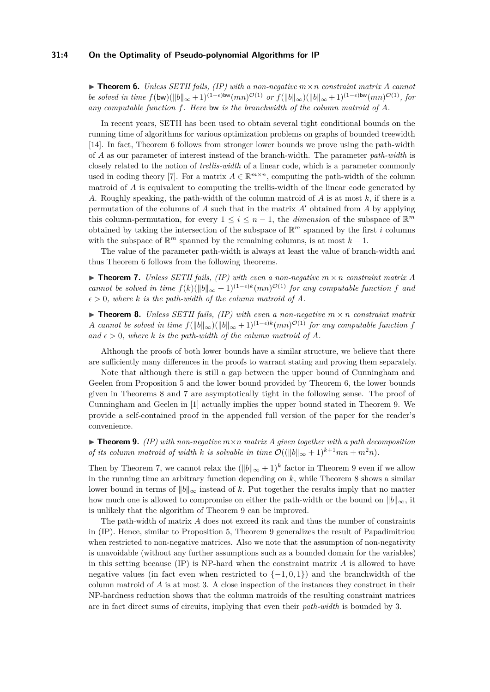#### **31:4 On the Optimality of Pseudo-polynomial Algorithms for IP**

<span id="page-3-0"></span> $\triangleright$  **Theorem 6.** *Unless SETH fails, (IP) with a non-negative*  $m \times n$  *constraint matrix A cannot be solved in time*  $f(\mathsf{bw})(\|\mathbf{b}\|_{\infty}+1)^{(1-\epsilon)\mathsf{bw}}(mn)^{\mathcal{O}(1)}$  *or*  $f(\|\mathbf{b}\|_{\infty})(\|\mathbf{b}\|_{\infty}+1)^{(1-\epsilon)\mathsf{bw}}(mn)^{\mathcal{O}(1)}$ *, for any computable function f. Here* bw *is the branchwidth of the column matroid of A.*

In recent years, SETH has been used to obtain several tight conditional bounds on the running time of algorithms for various optimization problems on graphs of bounded treewidth [\[14\]](#page-12-9). In fact, Theorem [6](#page-3-0) follows from stronger lower bounds we prove using the path-width of *A* as our parameter of interest instead of the branch-width. The parameter *path-width* is closely related to the notion of *trellis-width* of a linear code, which is a parameter commonly used in coding theory [\[7\]](#page-12-10). For a matrix  $A \in \mathbb{R}^{m \times n}$ , computing the path-width of the column matroid of *A* is equivalent to computing the trellis-width of the linear code generated by *A*. Roughly speaking, the path-width of the column matroid of *A* is at most *k*, if there is a permutation of the columns of  $A$  such that in the matrix  $A'$  obtained from  $A$  by applying this column-permutation, for every  $1 \leq i \leq n-1$ , the *dimension* of the subspace of  $\mathbb{R}^m$ obtained by taking the intersection of the subspace of  $\mathbb{R}^m$  spanned by the first *i* columns with the subspace of  $\mathbb{R}^m$  spanned by the remaining columns, is at most  $k-1$ .

The value of the parameter path-width is always at least the value of branch-width and thus Theorem [6](#page-3-0) follows from the following theorems.

<span id="page-3-2"></span> $\triangleright$  **Theorem 7.** *Unless SETH fails, (IP) with even a non-negative*  $m \times n$  *constraint matrix*  $A$ *cannot be solved in time*  $f(k)(\|b\|_{\infty}+1)^{(1-\epsilon)k}(mn)^{\mathcal{O}(1)}$  *for any computable function f and*  $\epsilon > 0$ *, where k is the path-width of the column matroid of A.* 

<span id="page-3-1"></span> $\triangleright$  **Theorem 8.** *Unless SETH fails, (IP) with even a non-negative*  $m \times n$  *constraint matrix A cannot be solved in time*  $f(||b||_{\infty})(||b||_{\infty} + 1)^{(1-\epsilon)k}(mn)^{\mathcal{O}(1)}$  *for any computable function f* and  $\epsilon > 0$ , where *k* is the path-width of the column matroid of A.

Although the proofs of both lower bounds have a similar structure, we believe that there are sufficiently many differences in the proofs to warrant stating and proving them separately.

Note that although there is still a gap between the upper bound of Cunningham and Geelen from Proposition [5](#page-2-2) and the lower bound provided by Theorem [6,](#page-3-0) the lower bounds given in Theorems [8](#page-3-1) and [7](#page-3-2) are asymptotically tight in the following sense. The proof of Cunningham and Geelen in [\[1\]](#page-12-8) actually implies the upper bound stated in Theorem [9.](#page-3-3) We provide a self-contained proof in the appended full version of the paper for the reader's convenience.

<span id="page-3-3"></span> $\triangleright$  **Theorem 9.** *(IP) with non-negative*  $m \times n$  *matrix A given together with a path decomposition of its column matroid of width k is solvable in time*  $\mathcal{O}((\Vert b \Vert_{\infty} + 1)^{k+1}mn + m^2n)$ *.* 

Then by Theorem [7,](#page-3-2) we cannot relax the  $(\|b\|_{\infty} + 1)^k$  factor in Theorem [9](#page-3-3) even if we allow in the running time an arbitrary function depending on *k*, while Theorem [8](#page-3-1) shows a similar lower bound in terms of  $||b||_{\infty}$  instead of *k*. Put together the results imply that no matter how much one is allowed to compromise on either the path-width or the bound on  $||b||_{\infty}$ , it is unlikely that the algorithm of Theorem [9](#page-3-3) can be improved.

The path-width of matrix *A* does not exceed its rank and thus the number of constraints in (IP). Hence, similar to Proposition [5,](#page-2-2) Theorem [9](#page-3-3) generalizes the result of Papadimitriou when restricted to non-negative matrices. Also we note that the assumption of non-negativity is unavoidable (without any further assumptions such as a bounded domain for the variables) in this setting because (IP) is NP-hard when the constraint matrix *A* is allowed to have negative values (in fact even when restricted to  $\{-1,0,1\}$ ) and the branchwidth of the column matroid of *A* is at most 3. A close inspection of the instances they construct in their NP-hardness reduction shows that the column matroids of the resulting constraint matrices are in fact direct sums of circuits, implying that even their *path-width* is bounded by 3.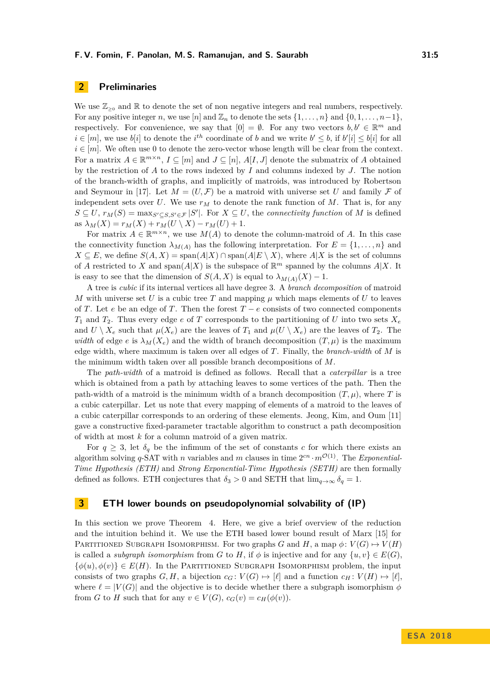## **2 Preliminaries**

We use  $\mathbb{Z}_{\geq 0}$  and  $\mathbb R$  to denote the set of non negative integers and real numbers, respectively. For any positive integer *n*, we use [*n*] and  $\mathbb{Z}_n$  to denote the sets  $\{1, \ldots, n\}$  and  $\{0, 1, \ldots, n-1\}$ , respectively. For convenience, we say that  $[0] = \emptyset$ . For any two vectors  $b, b' \in \mathbb{R}^m$  and  $i \in [m]$ , we use  $b[i]$  to denote the  $i^{th}$  coordinate of *b* and we write  $b' \leq b$ , if  $b'[i] \leq b[i]$  for all  $i \in [m]$ . We often use 0 to denote the zero-vector whose length will be clear from the context. For a matrix  $A \in \mathbb{R}^{m \times n}$ ,  $I \subseteq [m]$  and  $J \subseteq [n]$ ,  $A[I, J]$  denote the submatrix of *A* obtained by the restriction of *A* to the rows indexed by *I* and columns indexed by *J*. The notion of the branch-width of graphs, and implicitly of matroids, was introduced by Robertson and Seymour in [\[17\]](#page-12-11). Let  $M = (U, \mathcal{F})$  be a matroid with universe set U and family F of independent sets over  $U$ . We use  $r_M$  to denote the rank function of  $M$ . That is, for any  $S \subseteq U$ ,  $r_M(S) = \max_{S' \subseteq S, S' \in \mathcal{F}} |S'|$ . For  $X \subseteq U$ , the *connectivity function* of *M* is defined as  $\lambda_M(X) = r_M(X) + r_M(U \setminus X) - r_M(U) + 1$ .

For matrix  $A \in \mathbb{R}^{m \times n}$ , we use  $M(A)$  to denote the column-matroid of A. In this case the connectivity function  $\lambda_{M(A)}$  has the following interpretation. For  $E = \{1, \ldots, n\}$  and *X* ⊆ *E*, we define  $S(A, X) = \text{span}(A|X) \cap \text{span}(A|E \setminus X)$ , where  $A|X$  is the set of columns of *A* restricted to *X* and span( $A|X$ ) is the subspace of  $\mathbb{R}^m$  spanned by the columns  $A|X$ . It is easy to see that the dimension of  $S(A, X)$  is equal to  $\lambda_{M(A)}(X) - 1$ .

A tree is *cubic* if its internal vertices all have degree 3. A *branch decomposition* of matroid *M* with universe set  $U$  is a cubic tree  $T$  and mapping  $\mu$  which maps elements of  $U$  to leaves of *T*. Let *e* be an edge of *T*. Then the forest  $T - e$  consists of two connected components  $T_1$  and  $T_2$ . Thus every edge *e* of *T* corresponds to the partitioning of *U* into two sets  $X_e$ and  $U \setminus X_e$  such that  $\mu(X_e)$  are the leaves of  $T_1$  and  $\mu(U \setminus X_e)$  are the leaves of  $T_2$ . The *width* of edge *e* is  $\lambda_M(X_e)$  and the width of branch decomposition  $(T, \mu)$  is the maximum edge width, where maximum is taken over all edges of *T*. Finally, the *branch-width* of *M* is the minimum width taken over all possible branch decompositions of *M*.

The *path-width* of a matroid is defined as follows. Recall that a *caterpillar* is a tree which is obtained from a path by attaching leaves to some vertices of the path. Then the path-width of a matroid is the minimum width of a branch decomposition  $(T, \mu)$ , where *T* is a cubic caterpillar. Let us note that every mapping of elements of a matroid to the leaves of a cubic caterpillar corresponds to an ordering of these elements. Jeong, Kim, and Oum [\[11\]](#page-12-12) gave a constructive fixed-parameter tractable algorithm to construct a path decomposition of width at most *k* for a column matroid of a given matrix.

For  $q \geq 3$ , let  $\delta_q$  be the infimum of the set of constants *c* for which there exists an algorithm solving  $q$ -SAT with *n* variables and *m* clauses in time  $2^{cn} \cdot m^{\mathcal{O}(1)}$ . The *Exponential*-*Time Hypothesis (ETH)* and *Strong Exponential-Time Hypothesis (SETH)* are then formally defined as follows. ETH conjectures that  $\delta_3 > 0$  and SETH that  $\lim_{q \to \infty} \delta_q = 1$ .

## **3 ETH lower bounds on pseudopolynomial solvability of (IP)**

In this section we prove Theorem [4.](#page-2-1) Here, we give a brief overview of the reduction and the intuition behind it. We use the ETH based lower bound result of Marx [\[15\]](#page-12-13) for PARTITIONED SUBGRAPH ISOMORPHISM. For two graphs *G* and *H*, a map  $\phi: V(G) \mapsto V(H)$ is called a *subgraph isomorphism* from *G* to *H*, if  $\phi$  is injective and for any  $\{u, v\} \in E(G)$ .  $\{\phi(u), \phi(v)\}\in E(H)$ . In the PARTITIONED SUBGRAPH ISOMORPHISM problem, the input consists of two graphs  $G, H$ , a bijection  $c_G: V(G) \mapsto [\ell]$  and a function  $c_H: V(H) \mapsto [\ell]$ , where  $\ell = |V(G)|$  and the objective is to decide whether there a subgraph isomorphism  $\phi$ from *G* to *H* such that for any  $v \in V(G)$ ,  $c_G(v) = c_H(\phi(v))$ .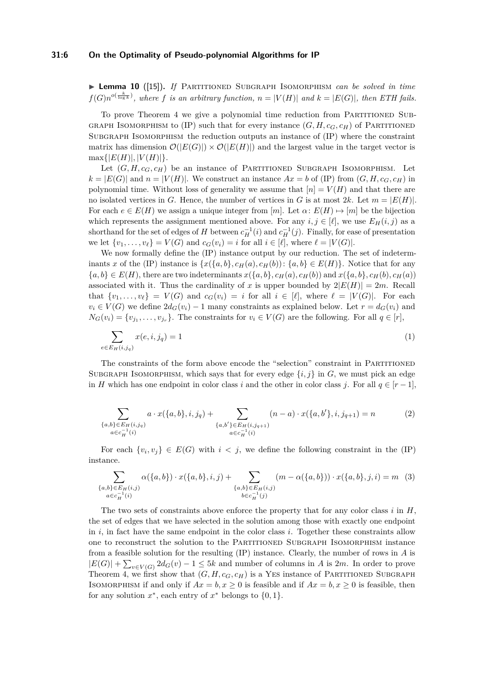#### **31:6 On the Optimality of Pseudo-polynomial Algorithms for IP**

I **Lemma 10** ([\[15\]](#page-12-13))**.** *If* Partitioned Subgraph Isomorphism *can be solved in time*  $f(G)n^{o(\frac{k}{\log k})}$ , where *f* is an arbitrary function,  $n = |V(H)|$  and  $k = |E(G)|$ , then ETH fails.

To prove Theorem [4](#page-2-1) we give a polynomial time reduction from Partitioned Sub-GRAPH ISOMORPHISM to (IP) such that for every instance  $(G, H, c_G, c_H)$  of PARTITIONED SUBGRAPH ISOMORPHISM the reduction outputs an instance of  $(IP)$  where the constraint matrix has dimension  $\mathcal{O}(|E(G)|) \times \mathcal{O}(|E(H)|)$  and the largest value in the target vector is  $max\{|E(H)|, |V(H)|\}.$ 

Let  $(G, H, c_G, c_H)$  be an instance of PARTITIONED SUBGRAPH ISOMORPHISM. Let  $k = |E(G)|$  and  $n = |V(H)|$ . We construct an instance  $Ax = b$  of (IP) from  $(G, H, c_G, c_H)$  in polynomial time. Without loss of generality we assume that  $[n] = V(H)$  and that there are no isolated vertices in *G*. Hence, the number of vertices in *G* is at most 2*k*. Let  $m = |E(H)|$ . For each  $e \in E(H)$  we assign a unique integer from [*m*]. Let  $\alpha: E(H) \mapsto [m]$  be the bijection which represents the assignment mentioned above. For any  $i, j \in [\ell]$ , we use  $E_H(i, j)$  as a shorthand for the set of edges of *H* between  $c_H^{-1}(i)$  and  $c_H^{-1}(j)$ . Finally, for ease of presentation we let  $\{v_1, \ldots, v_\ell\} = V(G)$  and  $c_G(v_i) = i$  for all  $i \in [\ell],$  where  $\ell = |V(G)|$ .

We now formally define the (IP) instance output by our reduction. The set of indeterminants *x* of the (IP) instance is  $\{x(\{a,b\}, c_H(a), c_H(b)) : \{a,b\} \in E(H)\}$ . Notice that for any  $\{a,b\} \in E(H)$ , there are two indeterminants  $x(\{a,b\}, c_H(a), c_H(b))$  and  $x(\{a,b\}, c_H(b), c_H(a))$ associated with it. Thus the cardinality of *x* is upper bounded by  $2|E(H)| = 2m$ . Recall that  $\{v_1, \ldots, v_\ell\} = V(G)$  and  $c_G(v_i) = i$  for all  $i \in [\ell],$  where  $\ell = |V(G)|$ . For each  $v_i \in V(G)$  we define  $2d_G(v_i) - 1$  many constraints as explained below. Let  $r = d_G(v_i)$  and  $N_G(v_i) = \{v_{j_1}, \ldots, v_{j_r}\}.$  The constraints for  $v_i \in V(G)$  are the following. For all  $q \in [r]$ ,

$$
\sum_{e \in E_H(i,j_q)} x(e,i,j_q) = 1 \tag{1}
$$

The constraints of the form above encode the "selection" constraint in PARTITIONED SUBGRAPH ISOMORPHISM, which says that for every edge  $\{i, j\}$  in *G*, we must pick an edge in *H* which has one endpoint in color class *i* and the other in color class *j*. For all  $q \in [r-1]$ ,

$$
\sum_{\substack{\{a,b\} \in E_H(i,j_q) \\ a \in c_H^{-1}(i)}} a \cdot x(\{a,b\}, i, j_q) + \sum_{\substack{\{a,b'\} \in E_H(i,j_{q+1}) \\ a \in c_H^{-1}(i)}} (n-a) \cdot x(\{a,b'\}, i, j_{q+1}) = n \tag{2}
$$

For each  $\{v_i, v_j\} \in E(G)$  with  $i < j$ , we define the following constraint in the (IP) instance.

$$
\sum_{\substack{\{a,b\} \in E_H(i,j) \\ a \in c_H^{-1}(i)}} \alpha(\{a,b\}) \cdot x(\{a,b\},i,j) + \sum_{\substack{\{a,b\} \in E_H(i,j) \\ b \in c_H^{-1}(j)}} (m - \alpha(\{a,b\})) \cdot x(\{a,b\},j,i) = m \quad (3)
$$

The two sets of constraints above enforce the property that for any color class  $i$  in  $H$ , the set of edges that we have selected in the solution among those with exactly one endpoint in *i*, in fact have the same endpoint in the color class *i*. Together these constraints allow one to reconstruct the solution to the Partitioned Subgraph Isomorphism instance from a feasible solution for the resulting (IP) instance. Clearly, the number of rows in *A* is  $|E(G)| + \sum_{v \in V(G)} 2d_G(v) - 1 \leq 5k$  and number of columns in *A* is 2*m*. In order to prove Theorem [4,](#page-2-1) we first show that  $(G, H, c_G, c_H)$  is a YES instance of PARTITIONED SUBGRAPH ISOMORPHISM if and only if  $Ax = b, x \ge 0$  is feasible and if  $Ax = b, x \ge 0$  is feasible, then for any solution  $x^*$ , each entry of  $x^*$  belongs to  $\{0, 1\}$ .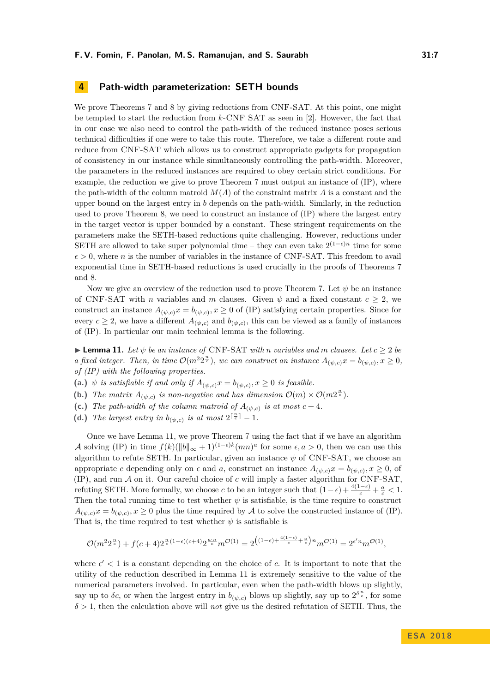### **4 Path-width parameterization: SETH bounds**

We prove Theorems [7](#page-3-2) and [8](#page-3-1) by giving reductions from CNF-SAT. At this point, one might be tempted to start the reduction from *k*-CNF SAT as seen in [\[2\]](#page-12-14). However, the fact that in our case we also need to control the path-width of the reduced instance poses serious technical difficulties if one were to take this route. Therefore, we take a different route and reduce from CNF-SAT which allows us to construct appropriate gadgets for propagation of consistency in our instance while simultaneously controlling the path-width. Moreover, the parameters in the reduced instances are required to obey certain strict conditions. For example, the reduction we give to prove Theorem [7](#page-3-2) must output an instance of (IP), where the path-width of the column matroid  $M(A)$  of the constraint matrix  $A$  is a constant and the upper bound on the largest entry in *b* depends on the path-width. Similarly, in the reduction used to prove Theorem [8,](#page-3-1) we need to construct an instance of (IP) where the largest entry in the target vector is upper bounded by a constant. These stringent requirements on the parameters make the SETH-based reductions quite challenging. However, reductions under SETH are allowed to take super polynomial time – they can even take  $2^{(1-\epsilon)n}$  time for some  $\epsilon > 0$ , where *n* is the number of variables in the instance of CNF-SAT. This freedom to avail exponential time in SETH-based reductions is used crucially in the proofs of Theorems [7](#page-3-2) and [8.](#page-3-1)

Now we give an overview of the reduction used to prove Theorem [7.](#page-3-2) Let  $\psi$  be an instance of CNF-SAT with *n* variables and *m* clauses. Given  $\psi$  and a fixed constant  $c > 2$ , we construct an instance  $A_{(\psi,c)}x = b_{(\psi,c)}$ ,  $x \ge 0$  of (IP) satisfying certain properties. Since for every  $c \geq 2$ , we have a different  $A_{(\psi,c)}$  and  $b_{(\psi,c)}$ , this can be viewed as a family of instances of (IP). In particular our main technical lemma is the following.

<span id="page-6-0"></span> $\blacktriangleright$  **Lemma 11.** Let  $\psi$  be an instance of CNF-SAT with *n* variables and *m* clauses. Let  $c \geq 2$  be *a* fixed integer. Then, in time  $\mathcal{O}(m^2 2^{\frac{n}{c}})$ , we can construct an instance  $A_{(\psi,c)}x = b_{(\psi,c)}$ ,  $x \ge 0$ , *of (IP) with the following properties.*

(a.)  $\psi$  *is satisfiable if and only if*  $A_{(\psi,c)}x = b_{(\psi,c)}, x \ge 0$  *is feasible.* 

**(b.)** *The matrix*  $A_{(\psi,c)}$  *is non-negative and has dimension*  $\mathcal{O}(m) \times \mathcal{O}(m 2^{\frac{n}{c}})$ *.* 

(c.) *The path-width of the column matroid of*  $A_{(\psi,c)}$  *is at most*  $c+4$ *.* 

(d.) The largest entry in  $b_{(\psi,c)}$  is at most  $2^{\lceil \frac{n}{c} \rceil} - 1$ .

Once we have Lemma [11,](#page-6-0) we prove Theorem [7](#page-3-2) using the fact that if we have an algorithm A solving (IP) in time  $f(k)(\|b\|_{\infty}+1)^{(1-\epsilon)k}(mn)^{a}$  for some  $\epsilon, a > 0$ , then we can use this algorithm to refute SETH. In particular, given an instance  $\psi$  of CNF-SAT, we choose an appropriate *c* depending only on  $\epsilon$  and *a*, construct an instance  $A_{(\psi,c)}x = b_{(\psi,c)}, x \ge 0$ , of (IP), and run A on it. Our careful choice of *c* will imply a faster algorithm for CNF-SAT, refuting SETH. More formally, we choose *c* to be an integer such that  $(1 - \epsilon) + \frac{4(1 - \epsilon)}{c} + \frac{a}{c} < 1$ . Then the total running time to test whether  $\psi$  is satisfiable, is the time require to construct  $A_{(\psi,c)}x = b_{(\psi,c)}$ ,  $x \ge 0$  plus the time required by A to solve the constructed instance of (IP). That is, the time required to test whether  $\psi$  is satisfiable is

$$
\mathcal{O}(m^2 2^{\frac{n}{c}}) + f(c+4) 2^{\frac{n}{c}(1-\epsilon)(c+4)} 2^{\frac{a\cdot n}{c}} m^{\mathcal{O}(1)} = 2^{\left((1-\epsilon) + \frac{4(1-\epsilon)}{c} + \frac{a}{c}\right)n} m^{\mathcal{O}(1)} = 2^{\epsilon'n} m^{\mathcal{O}(1)},
$$

where  $\epsilon' < 1$  is a constant depending on the choice of *c*. It is important to note that the utility of the reduction described in Lemma [11](#page-6-0) is extremely sensitive to the value of the numerical parameters involved. In particular, even when the path-width blows up slightly, say up to  $\delta c$ , or when the largest entry in  $b_{(\psi, c)}$  blows up slightly, say up to  $2^{\delta \frac{n}{c}}$ , for some *δ >* 1, then the calculation above will *not* give us the desired refutation of SETH. Thus, the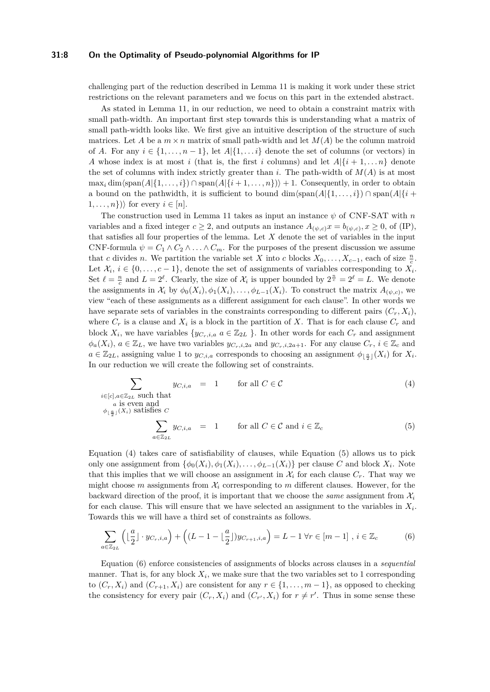#### **31:8 On the Optimality of Pseudo-polynomial Algorithms for IP**

challenging part of the reduction described in Lemma [11](#page-6-0) is making it work under these strict restrictions on the relevant parameters and we focus on this part in the extended abstract.

As stated in Lemma [11,](#page-6-0) in our reduction, we need to obtain a constraint matrix with small path-width. An important first step towards this is understanding what a matrix of small path-width looks like. We first give an intuitive description of the structure of such matrices. Let *A* be a  $m \times n$  matrix of small path-width and let  $M(A)$  be the column matroid of *A*. For any  $i \in \{1, \ldots, n-1\}$ , let  $A | \{1, \ldots i\}$  denote the set of columns (or vectors) in *A* whose index is at most *i* (that is, the first *i* columns) and let  $A | \{i + 1, \ldots n\}$  denote the set of columns with index strictly greater than *i*. The path-width of  $M(A)$  is at most  $\max_i \dim \langle \text{span}(A | \{1, \ldots, i\}) \cap \text{span}(A | \{i+1, \ldots, n\}) \rangle + 1$ . Consequently, in order to obtain a bound on the pathwidth, it is sufficient to bound  $\dim(\text{span}(A|\{1,\ldots,i\}) \cap \text{span}(A|\{i+\})$  $1, \ldots, n$ ) for every  $i \in [n]$ .

The construction used in Lemma [11](#page-6-0) takes as input an instance *ψ* of CNF-SAT with *n* variables and a fixed integer  $c \geq 2$ , and outputs an instance  $A_{(\psi,c)}x = b_{(\psi,c)}$ ,  $x \geq 0$ , of (IP), that satisfies all four properties of the lemma. Let *X* denote the set of variables in the input CNF-formula  $\psi = C_1 \wedge C_2 \wedge \ldots \wedge C_m$ . For the purposes of the present discussion we assume that *c* divides *n*. We partition the variable set *X* into *c* blocks  $X_0, \ldots, X_{c-1}$ , each of size  $\frac{n}{c}$ . Let  $\mathcal{X}_i, i \in \{0, \ldots, c-1\}$ , denote the set of assignments of variables corresponding to  $X_i$ . Set  $\ell = \frac{n}{c}$  and  $L = 2^{\ell}$ . Clearly, the size of  $\mathcal{X}_i$  is upper bounded by  $2^{\frac{n}{c}} = 2^{\ell} = L$ . We denote the assignments in  $\mathcal{X}_i$  by  $\phi_0(X_i), \phi_1(X_i), \ldots, \phi_{L-1}(X_i)$ . To construct the matrix  $A_{(\psi, c)}$ , we view "each of these assignments as a different assignment for each clause". In other words we have separate sets of variables in the constraints corresponding to different pairs  $(C_r, X_i)$ , where  $C_r$  is a clause and  $X_i$  is a block in the partition of X. That is for each clause  $C_r$  and block  $X_i$ , we have variables  $\{y_{C_r,i,a} \mid a \in \mathbb{Z}_{2L}\}\$ . In other words for each  $C_r$  and assignment  $\phi_a(X_i)$ ,  $a \in \mathbb{Z}_L$ , we have two variables  $y_{C_r,i,2a}$  and  $y_{C_r,i,2a+1}$ . For any clause  $C_r$ ,  $i \in \mathbb{Z}_c$  and  $a \in \mathbb{Z}_{2L}$ , assigning value 1 to  $y_{C,i,a}$  corresponds to choosing an assignment  $\phi_{\lfloor \frac{a}{2} \rfloor}(X_i)$  for  $X_i$ . In our reduction we will create the following set of constraints.

<span id="page-7-0"></span>
$$
\sum_{\substack{i \in [c], a \in \mathbb{Z}_{2L} \text{ such that} \\ a \text{ is even and} \\ \phi_{\lfloor \frac{a}{2} \rfloor}(X_i) \text{ satisfies } C}} y_{C,i,a} = 1 \quad \text{for all } C \in \mathcal{C} \\ \sum_{a \in \mathbb{Z}_{2L}} y_{C,i,a} = 1 \quad \text{for all } C \in \mathcal{C} \text{ and } i \in \mathbb{Z}_c \tag{5}
$$

Equation [\(4\)](#page-7-0) takes care of satisfiability of clauses, while Equation [\(5\)](#page-7-0) allows us to pick only one assignment from  $\{\phi_0(X_i), \phi_1(X_i), \dots, \phi_{L-1}(X_i)\}$  per clause *C* and block  $X_i$ . Note that this implies that we will choose an assignment in  $\mathcal{X}_i$  for each clause  $C_r$ . That way we might choose  $m$  assignments from  $\mathcal{X}_i$  corresponding to  $m$  different clauses. However, for the backward direction of the proof, it is important that we choose the *same* assignment from  $\mathcal{X}_i$ for each clause. This will ensure that we have selected an assignment to the variables in *X<sup>i</sup>* . Towards this we will have a third set of constraints as follows.

<span id="page-7-1"></span>
$$
\sum_{a \in \mathbb{Z}_{2L}} \left( \lfloor \frac{a}{2} \rfloor \cdot y_{C_r, i, a} \right) + \left( (L - 1 - \lfloor \frac{a}{2} \rfloor) y_{C_{r+1}, i, a} \right) = L - 1 \,\forall r \in [m - 1], \, i \in \mathbb{Z}_c \tag{6}
$$

Equation [\(6\)](#page-7-1) enforce consistencies of assignments of blocks across clauses in a *sequential* manner. That is, for any block  $X_i$ , we make sure that the two variables set to 1 corresponding to  $(C_r, X_i)$  and  $(C_{r+1}, X_i)$  are consistent for any  $r \in \{1, \ldots, m-1\}$ , as opposed to checking the consistency for every pair  $(C_r, X_i)$  and  $(C_{r'}, X_i)$  for  $r \neq r'$ . Thus in some sense these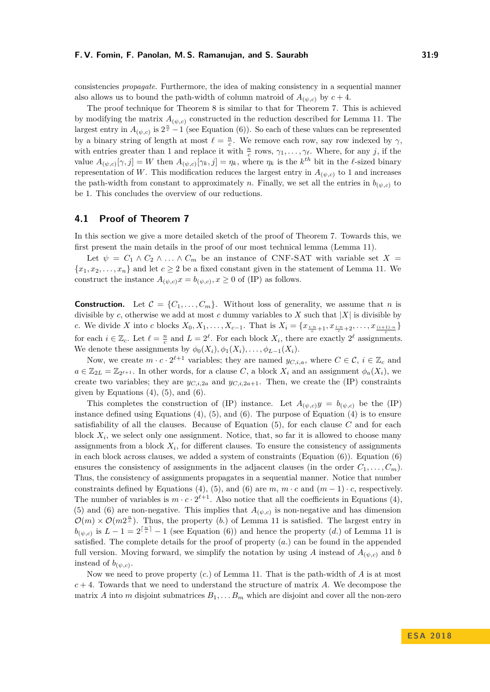#### **F. V. Fomin, F. Panolan, M. S. Ramanujan, and S. Saurabh 31:9**

consistencies *propagate*. Furthermore, the idea of making consistency in a sequential manner also allows us to bound the path-width of column matroid of  $A_{(\psi,c)}$  by  $c+4$ .

The proof technique for Theorem [8](#page-3-1) is similar to that for Theorem [7.](#page-3-2) This is achieved by modifying the matrix  $A_{(\psi,c)}$  constructed in the reduction described for Lemma [11.](#page-6-0) The largest entry in  $A_{(\psi,c)}$  is  $2^{\frac{n}{c}-1}$  (see Equation [\(6\)](#page-7-1)). So each of these values can be represented by a binary string of length at most  $\ell = \frac{n}{c}$ . We remove each row, say row indexed by  $\gamma$ , with entries greater than 1 and replace it with  $\frac{n}{c}$  rows,  $\gamma_1, \ldots, \gamma_\ell$ . Where, for any *j*, if the value  $A_{(\psi,c)}[\gamma,j] = W$  then  $A_{(\psi,c)}[\gamma_k,j] = \eta_k$ , where  $\eta_k$  is the  $k^{th}$  bit in the  $\ell$ -sized binary representation of *W*. This modification reduces the largest entry in  $A_{(\psi,c)}$  to 1 and increases the path-width from constant to approximately *n*. Finally, we set all the entries in  $b_{(\psi,c)}$  to be 1. This concludes the overview of our reductions.

### **4.1 Proof of Theorem [7](#page-3-2)**

In this section we give a more detailed sketch of the proof of Theorem [7.](#page-3-2) Towards this, we first present the main details in the proof of our most technical lemma (Lemma [11\)](#page-6-0).

Let  $\psi = C_1 \wedge C_2 \wedge \ldots \wedge C_m$  be an instance of CNF-SAT with variable set  $X =$  ${x_1, x_2, \ldots, x_n}$  and let  $c \geq 2$  be a fixed constant given in the statement of Lemma [11.](#page-6-0) We construct the instance  $A_{(\psi,c)}x = b_{(\psi,c)}, x \ge 0$  of (IP) as follows.

**Construction.** Let  $\mathcal{C} = \{C_1, \ldots, C_m\}$ . Without loss of generality, we assume that *n* is divisible by *c*, otherwise we add at most *c* dummy variables to *X* such that  $|X|$  is divisible by c. We divide X into c blocks  $X_0, X_1, \ldots, X_{c-1}$ . That is  $X_i = \{x_{\frac{i+n}{c}+1}, x_{\frac{i+n}{c}+2}, \ldots, x_{\frac{(i+1)\cdot n}{c}}\}$ for each  $i \in \mathbb{Z}_c$ . Let  $\ell = \frac{n}{c}$  and  $L = 2^{\ell}$ . For each block  $X_i$ , there are exactly  $2^{\ell}$  assignments. We denote these assignments by  $\phi_0(X_i), \phi_1(X_i), \ldots, \phi_{L-1}(X_i)$ .

Now, we create  $m \cdot c \cdot 2^{\ell+1}$  variables; they are named  $y_{C,i,a}$ , where  $C \in \mathcal{C}$ ,  $i \in \mathbb{Z}_c$  and  $a \in \mathbb{Z}_{2L} = \mathbb{Z}_{2^{\ell+1}}$ . In other words, for a clause *C*, a block  $X_i$  and an assignment  $\phi_a(X_i)$ , we create two variables; they are  $y_{C,i,2a}$  and  $y_{C,i,2a+1}$ . Then, we create the (IP) constraints given by Equations  $(4)$ ,  $(5)$ , and  $(6)$ .

This completes the construction of (IP) instance. Let  $A_{(\psi,c)}y = b_{(\psi,c)}$  be the (IP) instance defined using Equations  $(4)$ ,  $(5)$ , and  $(6)$ . The purpose of Equation  $(4)$  is to ensure satisfiability of all the clauses. Because of Equation [\(5\)](#page-7-0), for each clause *C* and for each block  $X_i$ , we select only one assignment. Notice, that, so far it is allowed to choose many assignments from a block  $X_i$ , for different clauses. To ensure the consistency of assignments in each block across clauses, we added a system of constraints (Equation  $(6)$ ). Equation  $(6)$ ensures the consistency of assignments in the adjacent clauses (in the order  $C_1, \ldots, C_m$ ). Thus, the consistency of assignments propagates in a sequential manner. Notice that number constraints defined by Equations [\(4\)](#page-7-0), [\(5\)](#page-7-0), and [\(6\)](#page-7-1) are  $m, m \cdot c$  and  $(m-1) \cdot c$ , respectively. The number of variables is  $m \cdot c \cdot 2^{\ell+1}$ . Also notice that all the coefficients in Equations [\(4\)](#page-7-0), [\(5\)](#page-7-0) and [\(6\)](#page-7-1) are non-negative. This implies that  $A_{(\psi,c)}$  is non-negative and has dimension  $\mathcal{O}(m) \times \mathcal{O}(m^2 \epsilon)$ . Thus, the property (*b.*) of Lemma [11](#page-6-0) is satisfied. The largest entry in  $b_{(\psi,c)}$  is  $L-1=2^{\lceil \frac{n}{c} \rceil}-1$  (see Equation [\(6\)](#page-7-1)) and hence the property (*d.*) of Lemma [11](#page-6-0) is satisfied. The complete details for the proof of property (*a.*) can be found in the appended full version. Moving forward, we simplify the notation by using *A* instead of  $A_{(\psi,c)}$  and *b* instead of  $b_{(\psi,c)}$ .

Now we need to prove property (*c.*) of Lemma [11.](#page-6-0) That is the path-width of *A* is at most *c* + 4. Towards that we need to understand the structure of matrix *A*. We decompose the matrix *A* into *m* disjoint submatrices  $B_1, \ldots, B_m$  which are disjoint and cover all the non-zero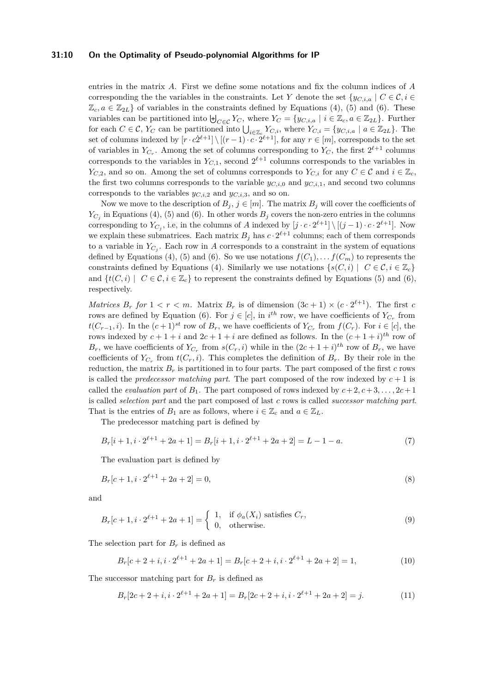### **31:10 On the Optimality of Pseudo-polynomial Algorithms for IP**

entries in the matrix *A*. First we define some notations and fix the column indices of *A* corresponding the the variables in the constraints. Let *Y* denote the set  ${y_{C,i,a} \mid C \in \mathcal{C}, i \in \mathcal{C}}$  $\mathbb{Z}_c$ ,  $a \in \mathbb{Z}_{2L}$  of variables in the constraints defined by Equations [\(4\)](#page-7-0), [\(5\)](#page-7-0) and [\(6\)](#page-7-1). These variables can be partitioned into  $\biguplus_{C \in \mathcal{C}} Y_C$ , where  $Y_C = \{y_{C,i,a} \mid i \in \mathbb{Z}_c, a \in \mathbb{Z}_{2L}\}.$  Further for each  $C \in \mathcal{C}$ ,  $Y_C$  can be partitioned into  $\bigcup_{i \in \mathbb{Z}_c} Y_{C,i}$ , where  $Y_{C,i} = \{y_{C,i,a} \mid a \in \mathbb{Z}_{2L}\}$ . The set of columns indexed by  $[r \cdot c\dot{2}^{\ell+1}] \setminus [(r-1) \cdot c \cdot \dot{2}^{\ell+1}]$ , for any  $r \in [m]$ , corresponds to the set of variables in  $Y_{C_r}$ . Among the set of columns corresponding to  $Y_C$ , the first  $2^{\ell+1}$  columns corresponds to the variables in  $Y_{C,1}$ , second  $2^{\ell+1}$  columns corresponds to the variables in *Y*<sub>*C*,2</sub>, and so on. Among the set of columns corresponds to *Y*<sub>*C*,*i*</sub> for any  $C \in \mathcal{C}$  and  $i \in \mathbb{Z}_c$ , the first two columns corresponds to the variable  $y_{C,i,0}$  and  $y_{C,i,1}$ , and second two columns corresponds to the variables  $y_{C,i,2}$  and  $y_{C,i,3}$ , and so on.

Now we move to the description of  $B_j$ ,  $j \in [m]$ . The matrix  $B_j$  will cover the coefficients of  $Y_{C_j}$  in Equations [\(4\)](#page-7-0), [\(5\)](#page-7-0) and [\(6\)](#page-7-1). In other words  $B_j$  covers the non-zero entries in the columns corresponding to  $Y_{C_j}$ , i.e, in the columns of *A* indexed by  $[j \cdot c \cdot 2^{\ell+1}] \setminus [(j-1) \cdot c \cdot 2^{\ell+1}]$ . Now we explain these submatrices. Each matrix  $B_j$  has  $c \cdot 2^{\ell+1}$  columns; each of them corresponds to a variable in  $Y_{C_j}$ . Each row in *A* corresponds to a constraint in the system of equations defined by Equations [\(4\)](#page-7-0), [\(5\)](#page-7-0) and [\(6\)](#page-7-1). So we use notations  $f(C_1), \ldots, f(C_m)$  to represents the constraints defined by Equations [\(4\)](#page-7-0). Similarly we use notations  $\{s(C, i) \mid C \in \mathcal{C}, i \in \mathbb{Z}_c\}$ and  $\{t(C, i) \mid C \in \mathcal{C}, i \in \mathbb{Z}_c\}$  to represent the constraints defined by Equations [\(5\)](#page-7-0) and [\(6\)](#page-7-1), respectively.

*Matrices*  $B_r$  *for*  $1 < r < m$ *.* Matrix  $B_r$  is of dimension  $(3c + 1) \times (c \cdot 2^{\ell+1})$ . The first *c* rows are defined by Equation [\(6\)](#page-7-1). For  $j \in [c]$ , in  $i^{th}$  row, we have coefficients of  $Y_{C_r}$  from *t*(*C*<sub>*r*−1</sub>*, i*). In the  $(c+1)^{st}$  row of  $B_r$ , we have coefficients of  $Y_{C_r}$  from  $f(C_r)$ . For  $i \in [c]$ , the rows indexed by  $c + 1 + i$  and  $2c + 1 + i$  are defined as follows. In the  $(c + 1 + i)^{th}$  row of *B*<sup>*r*</sup>, we have coefficients of  $Y_{C_r}$  from  $s(C_r, i)$  while in the  $(2c + 1 + i)^{th}$  row of  $B_r$ , we have coefficients of  $Y_{C_r}$  from  $t(C_r, i)$ . This completes the definition of  $B_r$ . By their role in the reduction, the matrix  $B_r$  is partitioned in to four parts. The part composed of the first  $c$  rows is called the *predecessor matching part*. The part composed of the row indexed by  $c + 1$  is called the *evaluation part* of  $B_1$ . The part composed of rows indexed by  $c+2, c+3, \ldots, 2c+1$ is called *selection part* and the part composed of last *c* rows is called *successor matching part*. That is the entries of  $B_1$  are as follows, where  $i \in \mathbb{Z}_c$  and  $a \in \mathbb{Z}_L$ .

The predecessor matching part is defined by

$$
B_r[i+1, i \cdot 2^{\ell+1} + 2a + 1] = B_r[i+1, i \cdot 2^{\ell+1} + 2a + 2] = L - 1 - a.
$$
 (7)

The evaluation part is defined by

$$
B_r[c+1, i \cdot 2^{\ell+1} + 2a + 2] = 0,\t\t(8)
$$

and

$$
B_r[c+1, i \cdot 2^{\ell+1} + 2a + 1] = \begin{cases} 1, & \text{if } \phi_a(X_i) \text{ satisfies } C_r, \\ 0, & \text{otherwise.} \end{cases} \tag{9}
$$

The selection part for  $B_r$  is defined as

$$
B_r[c+2+i, i \cdot 2^{\ell+1}+2a+1] = B_r[c+2+i, i \cdot 2^{\ell+1}+2a+2] = 1,
$$
\n(10)

The successor matching part for  $B_r$  is defined as

$$
B_r[2c+2+i, i \cdot 2^{\ell+1}+2a+1] = B_r[2c+2+i, i \cdot 2^{\ell+1}+2a+2] = j.
$$
 (11)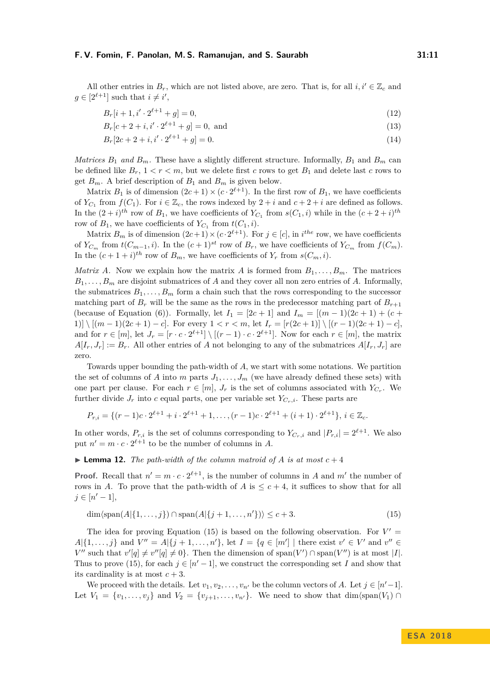All other entries in  $B_r$ , which are not listed above, are zero. That is, for all  $i, i' \in \mathbb{Z}_c$  and  $g \in [2^{\ell+1}]$  such that  $i \neq i'$ ,

$$
B_r[i+1, i' \cdot 2^{\ell+1} + g] = 0,\t\t(12)
$$

 $B_r[c + 2 + i, i' \cdot 2^{\ell+1} + g] = 0$ , and (13)

$$
B_r[2c+2+i, i' \cdot 2^{\ell+1}+g] = 0.
$$
\n(14)

*Matrices*  $B_1$  *and*  $B_m$ . These have a slightly different structure. Informally,  $B_1$  and  $B_m$  can be defined like  $B_r$ ,  $1 < r < m$ , but we delete first *c* rows to get  $B_1$  and delete last *c* rows to get  $B_m$ . A brief description of  $B_1$  and  $B_m$  is given below.

Matrix  $B_1$  is of dimension  $(2c+1) \times (c \cdot 2^{\ell+1})$ . In the first row of  $B_1$ , we have coefficients of  $Y_{C_1}$  from  $f(C_1)$ . For  $i \in \mathbb{Z}_c$ , the rows indexed by  $2 + i$  and  $c + 2 + i$  are defined as follows. In the  $(2+i)^{th}$  row of  $B_1$ , we have coefficients of  $Y_{C_1}$  from  $s(C_1, i)$  while in the  $(c+2+i)^{th}$ row of  $B_1$ , we have coefficients of  $Y_{C_1}$  from  $t(C_1, i)$ .

Matrix  $B_m$  is of dimension  $(2c+1) \times (c \cdot 2^{\ell+1})$ . For  $j \in [c]$ , in *i*<sup>the</sup> row, we have coefficients of  $Y_{C_m}$  from  $t(C_{m-1}, i)$ . In the  $(c+1)^{st}$  row of  $B_r$ , we have coefficients of  $Y_{C_m}$  from  $f(C_m)$ . In the  $(c+1+i)^{th}$  row of  $B_m$ , we have coefficients of  $Y_r$  from  $s(C_m, i)$ .

*Matrix A*. Now we explain how the matrix *A* is formed from  $B_1, \ldots, B_m$ . The matrices  $B_1, \ldots, B_m$  are disjoint submatrices of *A* and they cover all non zero entries of *A*. Informally, the submatrices  $B_1, \ldots, B_m$  form a chain such that the rows corresponding to the successor matching part of  $B_r$  will be the same as the rows in the predecessor matching part of  $B_{r+1}$ (because of Equation [\(6\)](#page-7-1)). Formally, let  $I_1 = [2c + 1]$  and  $I_m = [(m - 1)(2c + 1) + (c + 1)]$ 1)]  $\{[(m-1)(2c+1)-c]$ . For every  $1 < r < m$ , let  $I_r = [r(2c+1)] \setminus [(r-1)(2c+1)-c]$ , and for  $r \in [m]$ , let  $J_r = [r \cdot c \cdot 2^{\ell+1}] \setminus [(r-1) \cdot c \cdot 2^{\ell+1}]$ . Now for each  $r \in [m]$ , the matrix  $A[I_r, J_r] := B_r$ . All other entries of *A* not belonging to any of the submatrices  $A[I_r, J_r]$  are zero.

Towards upper bounding the path-width of *A*, we start with some notations. We partition the set of columns of *A* into *m* parts  $J_1, \ldots, J_m$  (we have already defined these sets) with one part per clause. For each  $r \in [m]$ ,  $J_r$  is the set of columns associated with  $Y_{C_r}$ . We further divide  $J_r$  into c equal parts, one per variable set  $Y_{C_r,i}$ . These parts are

$$
P_{r,i} = \{ (r-1)c \cdot 2^{\ell+1} + i \cdot 2^{\ell+1} + 1, \dots, (r-1)c \cdot 2^{\ell+1} + (i+1) \cdot 2^{\ell+1} \}, i \in \mathbb{Z}_c.
$$

In other words,  $P_{r,i}$  is the set of columns corresponding to  $Y_{C_r,i}$  and  $|P_{r,i}| = 2^{\ell+1}$ . We also put  $n' = m \cdot c \cdot 2^{\ell+1}$  to be the number of columns in *A*.

### $\blacktriangleright$  **Lemma 12.** *The path-width of the column matroid of A is at most*  $c + 4$

**Proof.** Recall that  $n' = m \cdot c \cdot 2^{\ell+1}$ , is the number of columns in *A* and *m'* the number of rows in *A*. To prove that the path-width of *A* is  $\leq c+4$ , it suffices to show that for all  $j \in [n'-1],$ 

<span id="page-10-0"></span>
$$
\dim\langle \text{span}(A|\{1,\ldots,j\}) \cap \text{span}(A|\{j+1,\ldots,n'\})\rangle \le c+3. \tag{15}
$$

The idea for proving Equation [\(15\)](#page-10-0) is based on the following observation. For  $V' =$ *A*|{1,...,*j*} and *V*<sup>''</sup> = *A*|{*j* + 1,...,*n*<sup>'</sup>}, let *I* = {*q* ∈ [*m*<sup>'</sup>] | there exist *v*<sup>'</sup> ∈ *V*<sup>'</sup> and *v*<sup>''</sup> ∈  $V''$  such that  $v'[q] \neq v''[q] \neq 0$ . Then the dimension of span( $V'$ ) ∩ span( $V''$ ) is at most |*I*|. Thus to prove [\(15\)](#page-10-0), for each  $j \in [n'-1]$ , we construct the corresponding set *I* and show that its cardinality is at most  $c + 3$ .

We proceed with the details. Let  $v_1, v_2, \ldots, v_{n'}$  be the column vectors of *A*. Let  $j \in [n'-1]$ . Let  $V_1 = \{v_1, \ldots, v_j\}$  and  $V_2 = \{v_{j+1}, \ldots, v_{n'}\}$ . We need to show that dim $\langle \text{span}(V_1) \cap$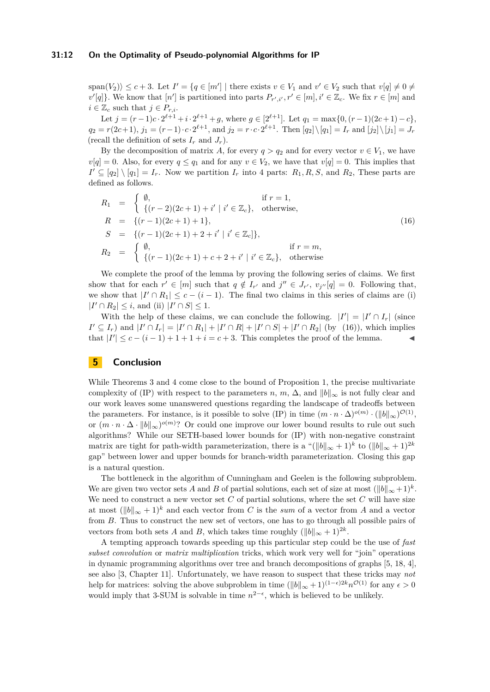#### **31:12 On the Optimality of Pseudo-polynomial Algorithms for IP**

 $\text{span}(V_2)$   $\leq c+3$ . Let  $I' = \{q \in [m'] \mid \text{there exists } v \in V_1 \text{ and } v' \in V_2 \text{ such that } v[q] \neq 0 \neq 0\}$  $v'[q]$ . We know that  $[n']$  is partitioned into parts  $P_{r',i'}, r' \in [m], i' \in \mathbb{Z}_c$ . We fix  $r \in [m]$  and  $i \in \mathbb{Z}_c$  such that  $j \in P_{r,i}$ .

Let  $j = (r-1)c \cdot 2^{\ell+1} + i \cdot 2^{\ell+1} + g$ , where  $g \in [2^{\ell+1}]$ . Let  $q_1 = \max\{0, (r-1)(2c+1) - c\}$ ,  $q_2 = r(2c+1), j_1 = (r-1) \cdot c \cdot 2^{\ell+1}$ , and  $j_2 = r \cdot c \cdot 2^{\ell+1}$ . Then  $[q_2] \setminus [q_1] = I_r$  and  $[j_2] \setminus [j_1] = J_r$ (recall the definition of sets  $I_r$  and  $J_r$ ).

By the decomposition of matrix *A*, for every *q* > *q*<sub>2</sub> and for every vector  $v \in V_1$ , we have  $v[q] = 0$ . Also, for every  $q \le q_1$  and for any  $v \in V_2$ , we have that  $v[q] = 0$ . This implies that  $I' \subseteq [q_2] \setminus [q_1] = I_r$ . Now we partition  $I_r$  into 4 parts:  $R_1, R, S$ , and  $R_2$ , These parts are defined as follows.

<span id="page-11-0"></span>
$$
R_1 = \begin{cases} \emptyset, & \text{if } r = 1, \\ \{(r-2)(2c+1) + i' \mid i' \in \mathbb{Z}_c\}, & \text{otherwise,} \end{cases}
$$
  
\n
$$
R = \{(r-1)(2c+1) + 1\},
$$
  
\n
$$
S = \{(r-1)(2c+1) + 2 + i' \mid i' \in \mathbb{Z}_c\},
$$
  
\n
$$
R_2 = \begin{cases} \emptyset, & \text{if } r = m, \\ \{(r-1)(2c+1) + c + 2 + i' \mid i' \in \mathbb{Z}_c\}, & \text{otherwise} \end{cases}
$$
  
\n(16)

We complete the proof of the lemma by proving the following series of claims. We first show that for each  $r' \in [m]$  such that  $q \notin I_{r'}$  and  $j'' \in J_{r'}, v_{j''}[q] = 0$ . Following that, we show that  $|I' \cap R_1| \leq c - (i - 1)$ . The final two claims in this series of claims are (i)  $|I' \cap R_2| \leq i$ , and (ii)  $|I' \cap S| \leq 1$ .

With the help of these claims, we can conclude the following.  $|I'| = |I' \cap I_r|$  (since  $I' \subseteq I_r$ ) and  $|I' \cap I_r| = |I' \cap R_1| + |I' \cap R| + |I' \cap S| + |I' \cap R_2|$  (by [\(16\)](#page-11-0)), which implies that  $|I'| \leq c - (i - 1) + 1 + 1 + i = c + 3$ . This completes the proof of the lemma.

### **5 Conclusion**

While Theorems [3](#page-2-0) and [4](#page-2-1) come close to the bound of Proposition [1,](#page-1-0) the precise multivariate complexity of (IP) with respect to the parameters *n*, *m*,  $\Delta$ , and  $||b||_{\infty}$  is not fully clear and our work leaves some unanswered questions regarding the landscape of tradeoffs between the parameters. For instance, is it possible to solve (IP) in time  $(m \cdot n \cdot \Delta)^{o(m)} \cdot (\|b\|_{\infty})^{\mathcal{O}(1)}$ , or  $(m \cdot n \cdot \Delta \cdot ||b||_{\infty})^{o(m)}$ ? Or could one improve our lower bound results to rule out such algorithms? While our SETH-based lower bounds for (IP) with non-negative constraint matrix are tight for path-width parameterization, there is a " $(\|b\|_{\infty} + 1)^k$  to  $(\|b\|_{\infty} + 1)^{2k}$ gap" between lower and upper bounds for branch-width parameterization. Closing this gap is a natural question.

The bottleneck in the algorithm of Cunningham and Geelen is the following subproblem. We are given two vector sets *A* and *B* of partial solutions, each set of size at most  $(\|b\|_{\infty}+1)^k$ . We need to construct a new vector set C of partial solutions, where the set C will have size at most  $(\|b\|_{\infty} + 1)^k$  and each vector from *C* is the *sum* of a vector from *A* and a vector from *B*. Thus to construct the new set of vectors, one has to go through all possible pairs of vectors from both sets *A* and *B*, which takes time roughly  $(||b||_{\infty} + 1)^{2k}$ .

A tempting approach towards speeding up this particular step could be the use of *fast subset convolution* or *matrix multiplication* tricks, which work very well for "join" operations in dynamic programming algorithms over tree and branch decompositions of graphs [\[5,](#page-12-15) [18,](#page-12-16) [4\]](#page-12-17), see also [\[3,](#page-12-18) Chapter 11]. Unfortunately, we have reason to suspect that these tricks may *not* help for matrices: solving the above subproblem in time  $(\|b\|_{\infty} + 1)^{(1-\epsilon)2k} n^{\mathcal{O}(1)}$  for any  $\epsilon > 0$ would imply that 3-SUM is solvable in time  $n^{2-\epsilon}$ , which is believed to be unlikely.